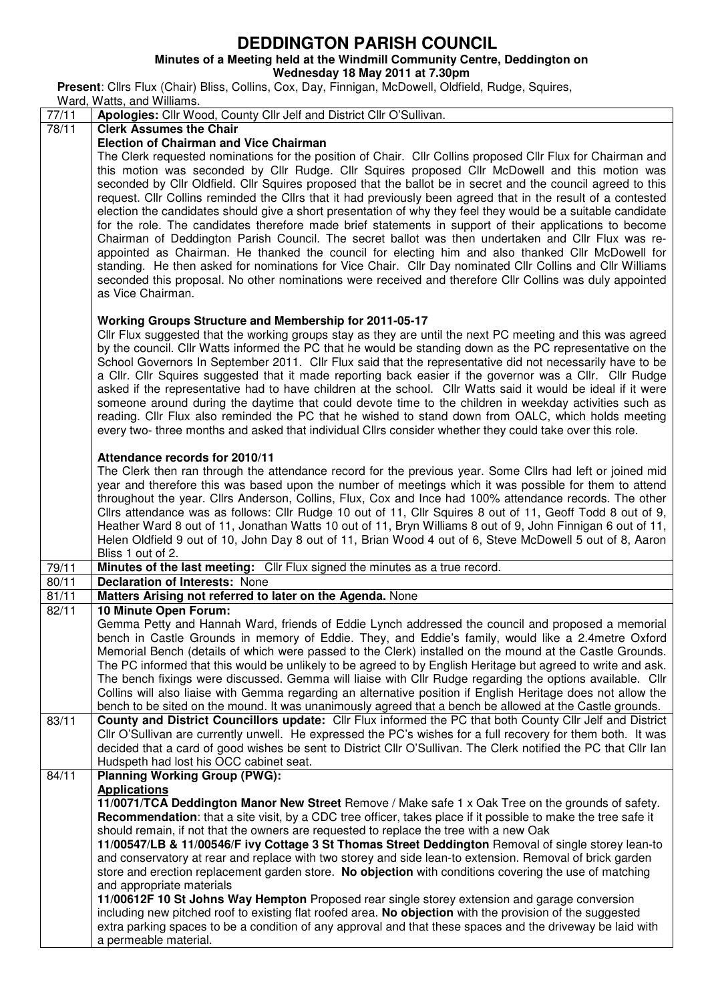## **DEDDINGTON PARISH COUNCIL**

## **Minutes of a Meeting held at the Windmill Community Centre, Deddington on**

**Wednesday 18 May 2011 at 7.30pm** 

**Present**: Cllrs Flux (Chair) Bliss, Collins, Cox, Day, Finnigan, McDowell, Oldfield, Rudge, Squires,

Ward, Watts, and Williams. 77/11 **Apologies:** Cllr Wood, County Cllr Jelf and District Cllr O'Sullivan. 78/11 **Clerk Assumes the Chair Election of Chairman and Vice Chairman**  The Clerk requested nominations for the position of Chair. Cllr Collins proposed Cllr Flux for Chairman and this motion was seconded by Cllr Rudge. Cllr Squires proposed Cllr McDowell and this motion was seconded by Cllr Oldfield. Cllr Squires proposed that the ballot be in secret and the council agreed to this request. Cllr Collins reminded the Cllrs that it had previously been agreed that in the result of a contested election the candidates should give a short presentation of why they feel they would be a suitable candidate for the role. The candidates therefore made brief statements in support of their applications to become Chairman of Deddington Parish Council. The secret ballot was then undertaken and Cllr Flux was reappointed as Chairman. He thanked the council for electing him and also thanked Cllr McDowell for standing. He then asked for nominations for Vice Chair. Cllr Day nominated Cllr Collins and Cllr Williams seconded this proposal. No other nominations were received and therefore Cllr Collins was duly appointed as Vice Chairman. **Working Groups Structure and Membership for 2011-05-17**  Cllr Flux suggested that the working groups stay as they are until the next PC meeting and this was agreed by the council. Cllr Watts informed the PC that he would be standing down as the PC representative on the School Governors In September 2011. Cllr Flux said that the representative did not necessarily have to be a Cllr. Cllr Squires suggested that it made reporting back easier if the governor was a Cllr. Cllr Rudge asked if the representative had to have children at the school. Cllr Watts said it would be ideal if it were someone around during the daytime that could devote time to the children in weekday activities such as reading. Cllr Flux also reminded the PC that he wished to stand down from OALC, which holds meeting every two- three months and asked that individual Cllrs consider whether they could take over this role. **Attendance records for 2010/11**  The Clerk then ran through the attendance record for the previous year. Some Cllrs had left or joined mid year and therefore this was based upon the number of meetings which it was possible for them to attend throughout the year. Cllrs Anderson, Collins, Flux, Cox and Ince had 100% attendance records. The other Cllrs attendance was as follows: Cllr Rudge 10 out of 11, Cllr Squires 8 out of 11, Geoff Todd 8 out of 9, Heather Ward 8 out of 11, Jonathan Watts 10 out of 11, Bryn Williams 8 out of 9, John Finnigan 6 out of 11, Helen Oldfield 9 out of 10, John Day 8 out of 11, Brian Wood 4 out of 6, Steve McDowell 5 out of 8, Aaron Bliss 1 out of 2. 79/11 **Minutes of the last meeting:** Cllr Flux signed the minutes as a true record.<br>80/11 **Declaration of Interests:** None 80/11 **Declaration of Interests:** None<br>81/11 **Matters Arising not referred to Matters Arising not referred to later on the Agenda.** None 82/11 **10 Minute Open Forum:**  Gemma Petty and Hannah Ward, friends of Eddie Lynch addressed the council and proposed a memorial bench in Castle Grounds in memory of Eddie. They, and Eddie's family, would like a 2.4metre Oxford Memorial Bench (details of which were passed to the Clerk) installed on the mound at the Castle Grounds. The PC informed that this would be unlikely to be agreed to by English Heritage but agreed to write and ask. The bench fixings were discussed. Gemma will liaise with Cllr Rudge regarding the options available. Cllr Collins will also liaise with Gemma regarding an alternative position if English Heritage does not allow the bench to be sited on the mound. It was unanimously agreed that a bench be allowed at the Castle grounds. 83/11 **County and District Councillors update:** Cllr Flux informed the PC that both County Cllr Jelf and District Cllr O'Sullivan are currently unwell. He expressed the PC's wishes for a full recovery for them both. It was decided that a card of good wishes be sent to District Cllr O'Sullivan. The Clerk notified the PC that Cllr Ian Hudspeth had lost his OCC cabinet seat. 84/11 **Planning Working Group (PWG): Applications 11/0071/TCA Deddington Manor New Street** Remove / Make safe 1 x Oak Tree on the grounds of safety. **Recommendation**: that a site visit, by a CDC tree officer, takes place if it possible to make the tree safe it should remain, if not that the owners are requested to replace the tree with a new Oak **11/00547/LB & 11/00546/F ivy Cottage 3 St Thomas Street Deddington** Removal of single storey lean-to and conservatory at rear and replace with two storey and side lean-to extension. Removal of brick garden store and erection replacement garden store. **No objection** with conditions covering the use of matching and appropriate materials **11/00612F 10 St Johns Way Hempton** Proposed rear single storey extension and garage conversion including new pitched roof to existing flat roofed area. **No objection** with the provision of the suggested extra parking spaces to be a condition of any approval and that these spaces and the driveway be laid with a permeable material.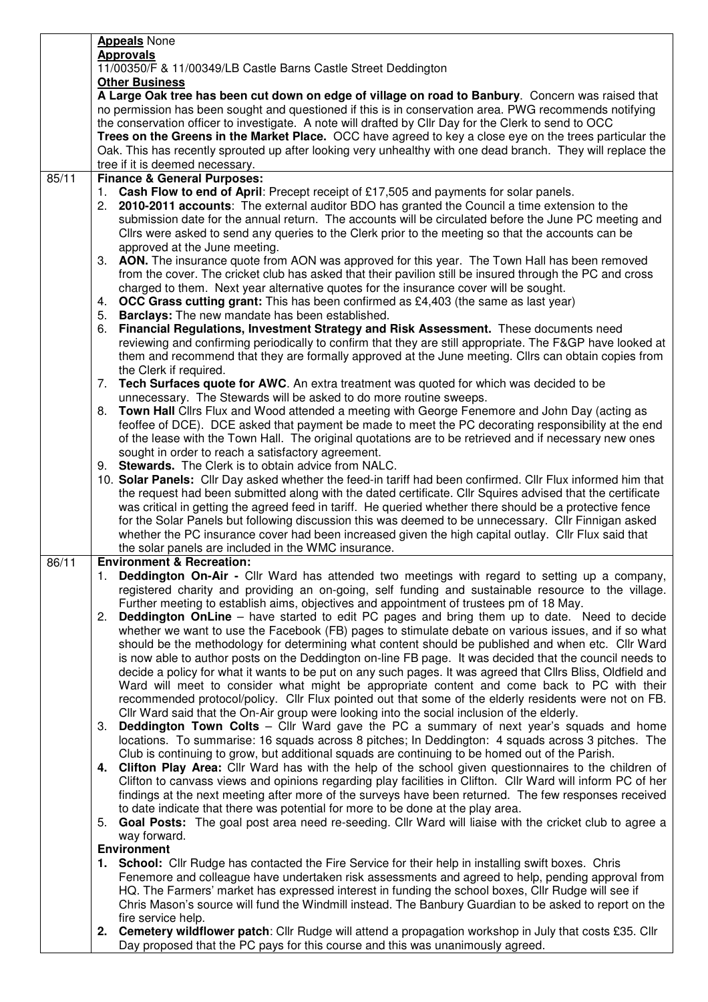|       | <b>Appeals</b> None                                                                                                                                                                                                       |  |  |  |  |  |  |
|-------|---------------------------------------------------------------------------------------------------------------------------------------------------------------------------------------------------------------------------|--|--|--|--|--|--|
|       | <b>Approvals</b>                                                                                                                                                                                                          |  |  |  |  |  |  |
|       | 11/00350/F & 11/00349/LB Castle Barns Castle Street Deddington                                                                                                                                                            |  |  |  |  |  |  |
|       | <b>Other Business</b>                                                                                                                                                                                                     |  |  |  |  |  |  |
|       | A Large Oak tree has been cut down on edge of village on road to Banbury. Concern was raised that                                                                                                                         |  |  |  |  |  |  |
|       | no permission has been sought and questioned if this is in conservation area. PWG recommends notifying                                                                                                                    |  |  |  |  |  |  |
|       | the conservation officer to investigate. A note will drafted by Cllr Day for the Clerk to send to OCC                                                                                                                     |  |  |  |  |  |  |
|       | Trees on the Greens in the Market Place. OCC have agreed to key a close eye on the trees particular the                                                                                                                   |  |  |  |  |  |  |
|       | Oak. This has recently sprouted up after looking very unhealthy with one dead branch. They will replace the                                                                                                               |  |  |  |  |  |  |
| 85/11 | tree if it is deemed necessary.<br><b>Finance &amp; General Purposes:</b>                                                                                                                                                 |  |  |  |  |  |  |
|       | 1. Cash Flow to end of April: Precept receipt of £17,505 and payments for solar panels.                                                                                                                                   |  |  |  |  |  |  |
|       | 2. 2010-2011 accounts: The external auditor BDO has granted the Council a time extension to the                                                                                                                           |  |  |  |  |  |  |
|       | submission date for the annual return. The accounts will be circulated before the June PC meeting and                                                                                                                     |  |  |  |  |  |  |
|       | Cllrs were asked to send any queries to the Clerk prior to the meeting so that the accounts can be                                                                                                                        |  |  |  |  |  |  |
|       | approved at the June meeting.                                                                                                                                                                                             |  |  |  |  |  |  |
|       | 3. AON. The insurance quote from AON was approved for this year. The Town Hall has been removed                                                                                                                           |  |  |  |  |  |  |
|       | from the cover. The cricket club has asked that their pavilion still be insured through the PC and cross                                                                                                                  |  |  |  |  |  |  |
|       | charged to them. Next year alternative quotes for the insurance cover will be sought.                                                                                                                                     |  |  |  |  |  |  |
|       | 4. OCC Grass cutting grant: This has been confirmed as £4,403 (the same as last year)                                                                                                                                     |  |  |  |  |  |  |
|       | 5. Barclays: The new mandate has been established.                                                                                                                                                                        |  |  |  |  |  |  |
|       | Financial Regulations, Investment Strategy and Risk Assessment. These documents need<br>6.                                                                                                                                |  |  |  |  |  |  |
|       | reviewing and confirming periodically to confirm that they are still appropriate. The F&GP have looked at                                                                                                                 |  |  |  |  |  |  |
|       | them and recommend that they are formally approved at the June meeting. Cllrs can obtain copies from                                                                                                                      |  |  |  |  |  |  |
|       | the Clerk if required.                                                                                                                                                                                                    |  |  |  |  |  |  |
|       | 7. Tech Surfaces quote for AWC. An extra treatment was quoted for which was decided to be                                                                                                                                 |  |  |  |  |  |  |
|       | unnecessary. The Stewards will be asked to do more routine sweeps.                                                                                                                                                        |  |  |  |  |  |  |
|       | 8. Town Hall Clirs Flux and Wood attended a meeting with George Fenemore and John Day (acting as                                                                                                                          |  |  |  |  |  |  |
|       | feoffee of DCE). DCE asked that payment be made to meet the PC decorating responsibility at the end                                                                                                                       |  |  |  |  |  |  |
|       | of the lease with the Town Hall. The original quotations are to be retrieved and if necessary new ones                                                                                                                    |  |  |  |  |  |  |
|       | sought in order to reach a satisfactory agreement.                                                                                                                                                                        |  |  |  |  |  |  |
|       | 9. Stewards. The Clerk is to obtain advice from NALC.                                                                                                                                                                     |  |  |  |  |  |  |
|       | 10. Solar Panels: Cllr Day asked whether the feed-in tariff had been confirmed. Cllr Flux informed him that<br>the request had been submitted along with the dated certificate. Cllr Squires advised that the certificate |  |  |  |  |  |  |
|       | was critical in getting the agreed feed in tariff. He queried whether there should be a protective fence                                                                                                                  |  |  |  |  |  |  |
|       | for the Solar Panels but following discussion this was deemed to be unnecessary. Cllr Finnigan asked                                                                                                                      |  |  |  |  |  |  |
|       | whether the PC insurance cover had been increased given the high capital outlay. Cllr Flux said that                                                                                                                      |  |  |  |  |  |  |
|       | the solar panels are included in the WMC insurance.                                                                                                                                                                       |  |  |  |  |  |  |
| 86/11 | <b>Environment &amp; Recreation:</b>                                                                                                                                                                                      |  |  |  |  |  |  |
|       | 1. Deddington On-Air - Cllr Ward has attended two meetings with regard to setting up a company,                                                                                                                           |  |  |  |  |  |  |
|       | registered charity and providing an on-going, self funding and sustainable resource to the village.                                                                                                                       |  |  |  |  |  |  |
|       | Further meeting to establish aims, objectives and appointment of trustees pm of 18 May.                                                                                                                                   |  |  |  |  |  |  |
|       | <b>Deddington OnLine</b> – have started to edit PC pages and bring them up to date. Need to decide<br>2.                                                                                                                  |  |  |  |  |  |  |
|       | whether we want to use the Facebook (FB) pages to stimulate debate on various issues, and if so what                                                                                                                      |  |  |  |  |  |  |
|       | should be the methodology for determining what content should be published and when etc. Cllr Ward                                                                                                                        |  |  |  |  |  |  |
|       | is now able to author posts on the Deddington on-line FB page. It was decided that the council needs to                                                                                                                   |  |  |  |  |  |  |
|       | decide a policy for what it wants to be put on any such pages. It was agreed that Cllrs Bliss, Oldfield and                                                                                                               |  |  |  |  |  |  |
|       | Ward will meet to consider what might be appropriate content and come back to PC with their                                                                                                                               |  |  |  |  |  |  |
|       | recommended protocol/policy. Cllr Flux pointed out that some of the elderly residents were not on FB.                                                                                                                     |  |  |  |  |  |  |
|       | Cllr Ward said that the On-Air group were looking into the social inclusion of the elderly.                                                                                                                               |  |  |  |  |  |  |
|       | <b>Deddington Town Colts</b> – Cllr Ward gave the PC a summary of next year's squads and home<br>3.                                                                                                                       |  |  |  |  |  |  |
|       | locations. To summarise: 16 squads across 8 pitches; In Deddington: 4 squads across 3 pitches. The<br>Club is continuing to grow, but additional squads are continuing to be homed out of the Parish.                     |  |  |  |  |  |  |
|       | 4. Clifton Play Area: Cllr Ward has with the help of the school given questionnaires to the children of                                                                                                                   |  |  |  |  |  |  |
|       | Clifton to canvass views and opinions regarding play facilities in Clifton. Cllr Ward will inform PC of her                                                                                                               |  |  |  |  |  |  |
|       | findings at the next meeting after more of the surveys have been returned. The few responses received                                                                                                                     |  |  |  |  |  |  |
|       | to date indicate that there was potential for more to be done at the play area.                                                                                                                                           |  |  |  |  |  |  |
|       | Goal Posts: The goal post area need re-seeding. Cllr Ward will liaise with the cricket club to agree a<br>5.                                                                                                              |  |  |  |  |  |  |
|       | way forward.                                                                                                                                                                                                              |  |  |  |  |  |  |
|       | <b>Environment</b>                                                                                                                                                                                                        |  |  |  |  |  |  |
|       | 1. School: Cllr Rudge has contacted the Fire Service for their help in installing swift boxes. Chris                                                                                                                      |  |  |  |  |  |  |
|       | Fenemore and colleague have undertaken risk assessments and agreed to help, pending approval from                                                                                                                         |  |  |  |  |  |  |
|       | HQ. The Farmers' market has expressed interest in funding the school boxes, Cllr Rudge will see if                                                                                                                        |  |  |  |  |  |  |
|       | Chris Mason's source will fund the Windmill instead. The Banbury Guardian to be asked to report on the                                                                                                                    |  |  |  |  |  |  |
|       | fire service help.                                                                                                                                                                                                        |  |  |  |  |  |  |
|       | 2. Cemetery wildflower patch: Cllr Rudge will attend a propagation workshop in July that costs £35. Cllr                                                                                                                  |  |  |  |  |  |  |
|       | Day proposed that the PC pays for this course and this was unanimously agreed.                                                                                                                                            |  |  |  |  |  |  |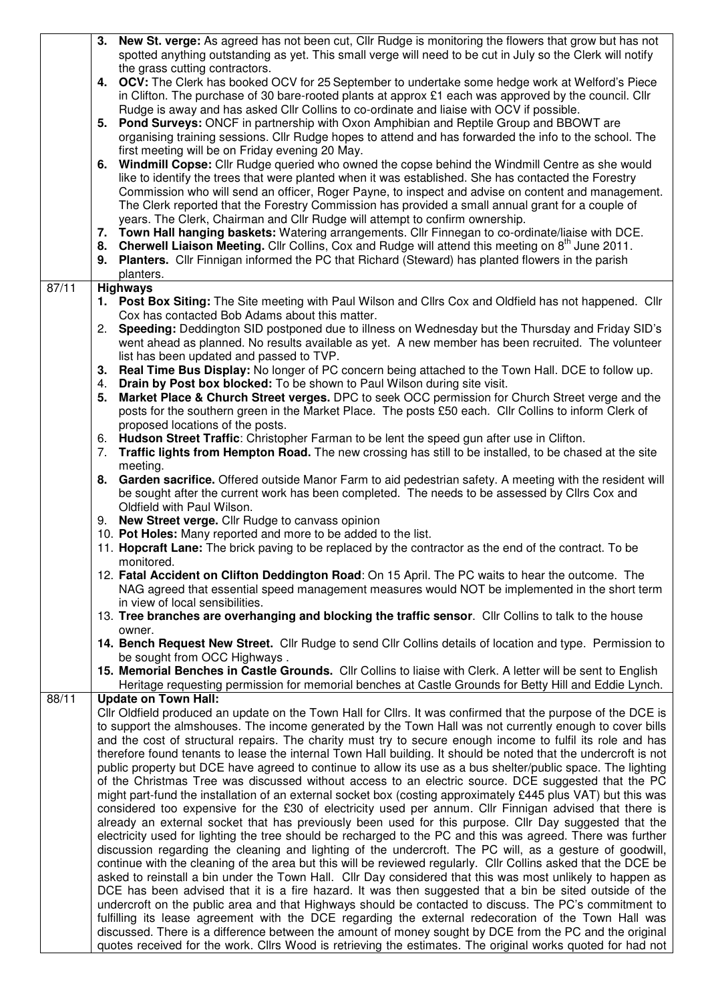|       | 3. New St. verge: As agreed has not been cut, Cllr Rudge is monitoring the flowers that grow but has not                                                                                                            |  |  |  |  |  |
|-------|---------------------------------------------------------------------------------------------------------------------------------------------------------------------------------------------------------------------|--|--|--|--|--|
|       | spotted anything outstanding as yet. This small verge will need to be cut in July so the Clerk will notify                                                                                                          |  |  |  |  |  |
|       | the grass cutting contractors.<br>4. OCV: The Clerk has booked OCV for 25 September to undertake some hedge work at Welford's Piece                                                                                 |  |  |  |  |  |
|       | in Clifton. The purchase of 30 bare-rooted plants at approx £1 each was approved by the council. Cllr                                                                                                               |  |  |  |  |  |
|       | Rudge is away and has asked CIIr Collins to co-ordinate and liaise with OCV if possible.                                                                                                                            |  |  |  |  |  |
|       | 5. Pond Surveys: ONCF in partnership with Oxon Amphibian and Reptile Group and BBOWT are                                                                                                                            |  |  |  |  |  |
|       | organising training sessions. Cllr Rudge hopes to attend and has forwarded the info to the school. The                                                                                                              |  |  |  |  |  |
|       | first meeting will be on Friday evening 20 May.                                                                                                                                                                     |  |  |  |  |  |
|       | 6. Windmill Copse: Cllr Rudge queried who owned the copse behind the Windmill Centre as she would                                                                                                                   |  |  |  |  |  |
|       | like to identify the trees that were planted when it was established. She has contacted the Forestry                                                                                                                |  |  |  |  |  |
|       | Commission who will send an officer, Roger Payne, to inspect and advise on content and management.<br>The Clerk reported that the Forestry Commission has provided a small annual grant for a couple of             |  |  |  |  |  |
|       | years. The Clerk, Chairman and Cllr Rudge will attempt to confirm ownership.                                                                                                                                        |  |  |  |  |  |
|       | 7. Town Hall hanging baskets: Watering arrangements. Cllr Finnegan to co-ordinate/liaise with DCE.                                                                                                                  |  |  |  |  |  |
|       | 8. Cherwell Liaison Meeting. Cllr Collins, Cox and Rudge will attend this meeting on 8 <sup>th</sup> June 2011.                                                                                                     |  |  |  |  |  |
|       | 9. Planters. Cllr Finnigan informed the PC that Richard (Steward) has planted flowers in the parish                                                                                                                 |  |  |  |  |  |
|       | planters.                                                                                                                                                                                                           |  |  |  |  |  |
| 87/11 | <b>Highways</b>                                                                                                                                                                                                     |  |  |  |  |  |
|       | 1. Post Box Siting: The Site meeting with Paul Wilson and Cllrs Cox and Oldfield has not happened. Cllr                                                                                                             |  |  |  |  |  |
|       | Cox has contacted Bob Adams about this matter.                                                                                                                                                                      |  |  |  |  |  |
|       | 2. Speeding: Deddington SID postponed due to illness on Wednesday but the Thursday and Friday SID's<br>went ahead as planned. No results available as yet. A new member has been recruited. The volunteer           |  |  |  |  |  |
|       | list has been updated and passed to TVP.                                                                                                                                                                            |  |  |  |  |  |
|       | 3. Real Time Bus Display: No longer of PC concern being attached to the Town Hall. DCE to follow up.                                                                                                                |  |  |  |  |  |
|       | Drain by Post box blocked: To be shown to Paul Wilson during site visit.<br>4.                                                                                                                                      |  |  |  |  |  |
|       | Market Place & Church Street verges. DPC to seek OCC permission for Church Street verge and the<br>5.                                                                                                               |  |  |  |  |  |
|       | posts for the southern green in the Market Place. The posts £50 each. Cllr Collins to inform Clerk of                                                                                                               |  |  |  |  |  |
|       | proposed locations of the posts.                                                                                                                                                                                    |  |  |  |  |  |
|       | 6. Hudson Street Traffic: Christopher Farman to be lent the speed gun after use in Clifton.<br>Traffic lights from Hempton Road. The new crossing has still to be installed, to be chased at the site               |  |  |  |  |  |
|       | 7.<br>meeting.                                                                                                                                                                                                      |  |  |  |  |  |
|       | 8. Garden sacrifice. Offered outside Manor Farm to aid pedestrian safety. A meeting with the resident will                                                                                                          |  |  |  |  |  |
|       | be sought after the current work has been completed. The needs to be assessed by Cllrs Cox and                                                                                                                      |  |  |  |  |  |
|       | Oldfield with Paul Wilson.                                                                                                                                                                                          |  |  |  |  |  |
|       | 9. New Street verge. Cllr Rudge to canvass opinion                                                                                                                                                                  |  |  |  |  |  |
|       | 10. Pot Holes: Many reported and more to be added to the list.                                                                                                                                                      |  |  |  |  |  |
|       | 11. Hopcraft Lane: The brick paving to be replaced by the contractor as the end of the contract. To be                                                                                                              |  |  |  |  |  |
|       | monitored.<br>12. Fatal Accident on Clifton Deddington Road: On 15 April. The PC waits to hear the outcome. The                                                                                                     |  |  |  |  |  |
|       | NAG agreed that essential speed management measures would NOT be implemented in the short term                                                                                                                      |  |  |  |  |  |
|       | in view of local sensibilities.                                                                                                                                                                                     |  |  |  |  |  |
|       | 13. Tree branches are overhanging and blocking the traffic sensor. Cllr Collins to talk to the house                                                                                                                |  |  |  |  |  |
|       | owner.                                                                                                                                                                                                              |  |  |  |  |  |
|       | 14. Bench Request New Street. Cllr Rudge to send Cllr Collins details of location and type. Permission to                                                                                                           |  |  |  |  |  |
|       | be sought from OCC Highways.<br>15. Memorial Benches in Castle Grounds. Cllr Collins to liaise with Clerk. A letter will be sent to English                                                                         |  |  |  |  |  |
|       | Heritage requesting permission for memorial benches at Castle Grounds for Betty Hill and Eddie Lynch.                                                                                                               |  |  |  |  |  |
| 88/11 | <b>Update on Town Hall:</b>                                                                                                                                                                                         |  |  |  |  |  |
|       | Cllr Oldfield produced an update on the Town Hall for Cllrs. It was confirmed that the purpose of the DCE is                                                                                                        |  |  |  |  |  |
|       | to support the almshouses. The income generated by the Town Hall was not currently enough to cover bills                                                                                                            |  |  |  |  |  |
|       | and the cost of structural repairs. The charity must try to secure enough income to fulfil its role and has                                                                                                         |  |  |  |  |  |
|       | therefore found tenants to lease the internal Town Hall building. It should be noted that the undercroft is not                                                                                                     |  |  |  |  |  |
|       | public property but DCE have agreed to continue to allow its use as a bus shelter/public space. The lighting<br>of the Christmas Tree was discussed without access to an electric source. DCE suggested that the PC |  |  |  |  |  |
|       | might part-fund the installation of an external socket box (costing approximately £445 plus VAT) but this was                                                                                                       |  |  |  |  |  |
|       | considered too expensive for the £30 of electricity used per annum. Cllr Finnigan advised that there is                                                                                                             |  |  |  |  |  |
|       | already an external socket that has previously been used for this purpose. Cllr Day suggested that the                                                                                                              |  |  |  |  |  |
|       | electricity used for lighting the tree should be recharged to the PC and this was agreed. There was further                                                                                                         |  |  |  |  |  |
|       | discussion regarding the cleaning and lighting of the undercroft. The PC will, as a gesture of goodwill,                                                                                                            |  |  |  |  |  |
|       | continue with the cleaning of the area but this will be reviewed regularly. Cllr Collins asked that the DCE be                                                                                                      |  |  |  |  |  |
|       | asked to reinstall a bin under the Town Hall. Cllr Day considered that this was most unlikely to happen as                                                                                                          |  |  |  |  |  |
|       | DCE has been advised that it is a fire hazard. It was then suggested that a bin be sited outside of the<br>undercroft on the public area and that Highways should be contacted to discuss. The PC's commitment to   |  |  |  |  |  |
|       | fulfilling its lease agreement with the DCE regarding the external redecoration of the Town Hall was                                                                                                                |  |  |  |  |  |
|       | discussed. There is a difference between the amount of money sought by DCE from the PC and the original                                                                                                             |  |  |  |  |  |
|       | quotes received for the work. Cllrs Wood is retrieving the estimates. The original works quoted for had not                                                                                                         |  |  |  |  |  |